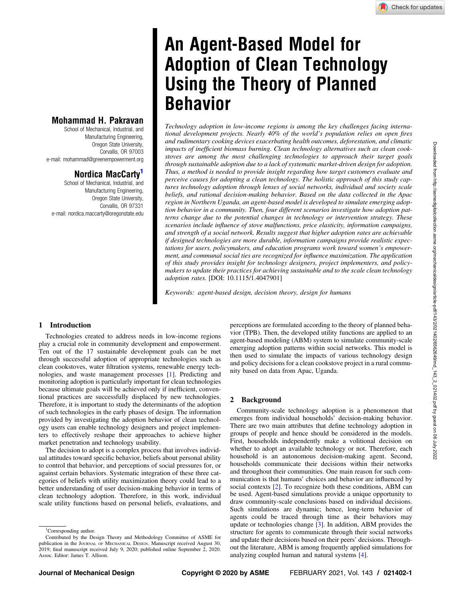# An Agent-Based Model for Adoption of Clean Technology Using the Theory of Planned Behavior

Technology adoption in low-income regions is among the key challenges facing international development projects. Nearly 40% of the world's population relies on open fires and rudimentary cooking devices exacerbating health outcomes, deforestation, and climatic impacts of inefficient biomass burning. Clean technology alternatives such as clean cookstoves are among the most challenging technologies to approach their target goals through sustainable adoption due to a lack of systematic market-driven design for adoption. Thus, a method is needed to provide insight regarding how target customers evaluate and perceive causes for adopting a clean technology. The holistic approach of this study captures technology adoption through lenses of social networks, individual and society scale beliefs, and rational decision-making behavior. Based on the data collected in the Apac region in Northern Uganda, an agent-based model is developed to simulate emerging adoption behavior in a community. Then, four different scenarios investigate how adoption patterns change due to the potential changes in technology or intervention strategy. These scenarios include influence of stove malfunctions, price elasticity, information campaigns, and strength of a social network. Results suggest that higher adoption rates are achievable if designed technologies are more durable, information campaigns provide realistic expectations for users, policymakers, and education programs work toward women's empowerment, and communal social ties are recognized for influence maximization. The application of this study provides insight for technology designers, project implementers, and policymakers to update their practices for achieving sustainable and to the scale clean technology adoption rates. [DOI: 10.1115/1.4047901]

Keywords: agent-based design, decision theory, design for humans

# Mohammad H. Pakravan

School of Mechanical, Industrial, and Manufacturing Engineering, Oregon State University, Corvallis, OR 97003 e-mail: [mohammad@greenempowerment.org](mailto:mohammad@greenempowerment.org)

# Nordica MacCarty'

School of Mechanical, Industrial, and Manufacturing Engineering, Oregon State University, Corvallis, OR 97331 e-mail: [nordica.maccarty@oregonstate.edu](mailto:nordica.maccarty@oregonstate.edu)

# 1 Introduction

Technologies created to address needs in low-income regions play a crucial role in community development and empowerment. Ten out of the 17 sustainable development goals can be met through successful adoption of appropriate technologies such as clean cookstoves, water filtration systems, renewable energy technologies, and waste management processes [[1](#page-6-0)]. Predicting and monitoring adoption is particularly important for clean technologies because ultimate goals will be achieved only if inefficient, conventional practices are successfully displaced by new technologies. Therefore, it is important to study the determinants of the adoption of such technologies in the early phases of design. The information provided by investigating the adoption behavior of clean technology users can enable technology designers and project implementers to effectively reshape their approaches to achieve higher market penetration and technology usability.

The decision to adopt is a complex process that involves individual attitudes toward specific behavior, beliefs about personal ability to control that behavior, and perceptions of social pressures for, or against certain behaviors. Systematic integration of these three categories of beliefs with utility maximization theory could lead to a better understanding of user decision-making behavior in terms of clean technology adoption. Therefore, in this work, individual scale utility functions based on personal beliefs, evaluations, and

perceptions are formulated according to the theory of planned behavior (TPB). Then, the developed utility functions are applied to an agent-based modeling (ABM) system to simulate community-scale emerging adoption patterns within social networks. This model is then used to simulate the impacts of various technology design and policy decisions for a clean cookstove project in a rural community based on data from Apac, Uganda.

# 2 Background

Community-scale technology adoption is a phenomenon that emerges from individual households' decision-making behavior. There are two main attributes that define technology adoption in groups of people and hence should be considered in the models. First, households independently make a volitional decision on whether to adopt an available technology or not. Therefore, each household is an autonomous decision-making agent. Second, households communicate their decisions within their networks and throughout their communities. One main reason for such communication is that humans' choices and behavior are influenced by social contexts [\[2\]](#page-6-0). To recognize both these conditions, ABM can be used. Agent-based simulations provide a unique opportunity to draw community-scale conclusions based on individual decisions. Such simulations are dynamic; hence, long-term behavior of agents could be traced through time as their behaviors may update or technologies change [[3](#page-6-0)]. In addition, ABM provides the structure for agents to communicate through their social networks and update their decisions based on their peers' decisions. Throughout the literature, ABM is among frequently applied simulations for analyzing coupled human and natural systems [\[4\]](#page-6-0).

<sup>&</sup>lt;sup>1</sup>Corresponding author.

Contributed by the Design Theory and Methodology Committee of ASME for publication in the JOURNAL OF MECHANICAL DESIGN. Manuscript received August 30, 2019; final manuscript received July 9, 2020; published online September 2, 2020. Assoc. Editor: James T. Allison.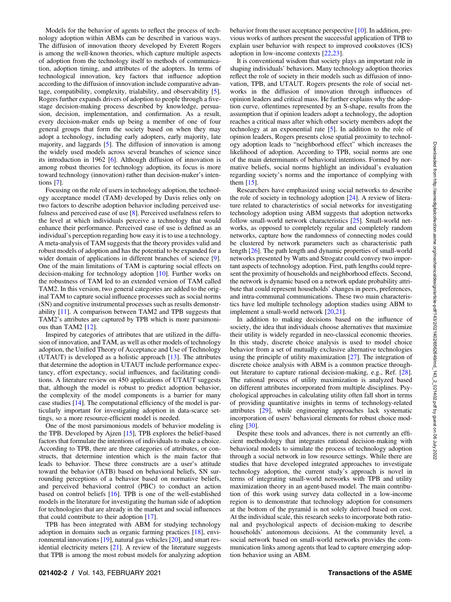Downloaded from htp://asmedigitalcollection.asme.org/mechanicaldesign/article-pdf/143/2/021402/6562649/md\_143\_2\_021402.pdf by guest on 06 July 2022 Downloaded from http://asmedigitalcollection.asme.org/mechanicaldesign/article-pdf/143/2/021402/6562649/md\_143\_2\_021402.pdf by guest on 06 July 2022

Models for the behavior of agents to reflect the process of technology adoption within ABMs can be described in various ways. The diffusion of innovation theory developed by Everett Rogers is among the well-known theories, which capture multiple aspects of adoption from the technology itself to methods of communication, adoption timing, and attributes of the adopters. In terms of technological innovation, key factors that influence adoption according to the diffusion of innovation include comparative advantage, compatibility, complexity, trialability, and observability [\[5\]](#page-6-0). Rogers further expands drivers of adoption to people through a fivestage decision-making process described by knowledge, persuasion, decision, implementation, and confirmation. As a result, every decision-maker ends up being a member of one of four general groups that form the society based on when they may adopt a technology, including early adopters, early majority, late majority, and laggards [\[5\]](#page-6-0). The diffusion of innovation is among the widely used models across several branches of science since its introduction in 1962 [\[6\]](#page-6-0). Although diffusion of innovation is among robust theories for technology adoption, its focus is more toward technology (innovation) rather than decision-maker's intentions [[7](#page-6-0)].

Focusing on the role of users in technology adoption, the technology acceptance model (TAM) developed by Davis relies only on two factors to describe adoption behavior including perceived usefulness and perceived ease of use [[8](#page-7-0)]. Perceived usefulness refers to the level at which individuals perceive a technology that would enhance their performance. Perceived ease of use is defined as an individual's perception regarding how easy it is to use a technology. A meta-analysis of TAM suggests that the theory provides valid and robust models of adoption and has the potential to be expanded for a wider domain of applications in different branches of science [\[9\]](#page-7-0). One of the main limitations of TAM is capturing social effects on decision-making for technology adoption [\[10](#page-7-0)]. Further works on the robustness of TAM led to an extended version of TAM called TAM2. In this version, two general categories are added to the original TAM to capture social influence processes such as social norms (SN) and cognitive instrumental processes such as results demonstrability [\[11](#page-7-0)]. A comparison between TAM2 and TPB suggests that TAM2's attributes are captured by TPB which is more parsimonious than TAM2 [\[12](#page-7-0)].

Inspired by categories of attributes that are utilized in the diffusion of innovation, and TAM, as well as other models of technology adoption, the Unified Theory of Acceptance and Use of Technology (UTAUT) is developed as a holistic approach  $[13]$  $[13]$ . The attributes that determine the adoption in UTAUT include performance expectancy, effort expectancy, social influences, and facilitating conditions. A literature review on 450 applications of UTAUT suggests that, although the model is robust to predict adoption behavior, the complexity of the model components is a barrier for many case studies [\[14](#page-7-0)]. The computational efficiency of the model is particularly important for investigating adoption in data-scarce settings, so a more resource-efficient model is needed.

One of the most parsimonious models of behavior modeling is the TPB. Developed by Ajzen [[15\]](#page-7-0), TPB explores the belief-based factors that formulate the intentions of individuals to make a choice. According to TPB, there are three categories of attributes, or constructs, that determine intention which is the main factor that leads to behavior. These three constructs are a user's attitude toward the behavior (ATB) based on behavioral beliefs, SN surrounding perceptions of a behavior based on normative beliefs, and perceived behavioral control (PBC) to conduct an action based on control beliefs [\[16](#page-7-0)]. TPB is one of the well-established models in the literature for investigating the human side of adoption for technologies that are already in the market and social influences that could contribute to their adoption [[17\]](#page-7-0).

TPB has been integrated with ABM for studying technology adoption in domains such as organic farming practices [[18\]](#page-7-0), environmental innovations  $[19]$  $[19]$ , natural gas vehicles  $[20]$  $[20]$ , and smart residential electricity meters  $[21]$  $[21]$ . A review of the literature suggests that TPB is among the most robust models for analyzing adoption behavior from the user acceptance perspective [\[10](#page-7-0)]. In addition, previous works of authors present the successful application of TPB to explain user behavior with respect to improved cookstoves (ICS) adoption in low-income contexts [\[22,23](#page-7-0)].

It is conventional wisdom that society plays an important role in shaping individuals' behaviors. Many technology adoption theories reflect the role of society in their models such as diffusion of innovation, TPB, and UTAUT. Rogers presents the role of social networks in the diffusion of innovation through influences of opinion leaders and critical mass. He further explains why the adoption curve, oftentimes represented by an S-shape, results from the assumption that if opinion leaders adopt a technology, the adoption reaches a critical mass after which other society members adopt the technology at an exponential rate [[5](#page-6-0)]. In addition to the role of opinion leaders, Rogers presents close spatial proximity to technology adoption leads to "neighborhood effect" which increases the likelihood of adoption. According to TPB, social norms are one of the main determinants of behavioral intentions. Formed by normative beliefs, social norms highlight an individual's evaluation regarding society's norms and the importance of complying with them [\[15](#page-7-0)].

Researchers have emphasized using social networks to describe the role of society in technology adoption [\[24](#page-7-0)]. A review of literature related to characteristics of social networks for investigating technology adoption using ABM suggests that adoption networks follow small-world network characteristics [\[25](#page-7-0)]. Small-world networks, as opposed to completely regular and completely random networks, capture how the randomness of connecting nodes could be clustered by network parameters such as characteristic path length [\[26](#page-7-0)]. The path length and dynamic properties of small-world networks presented by Watts and Strogatz could convey two important aspects of technology adoption. First, path lengths could represent the proximity of households and neighborhood effects. Second, the network is dynamic based on a network update probability attribute that could represent households' changes in peers, preferences, and intra-communal communications. These two main characteristics have led multiple technology adoption studies using ABM to implement a small-world network [[20,21](#page-7-0)].

In addition to making decisions based on the influence of society, the idea that individuals choose alternatives that maximize their utility is widely regarded in neo-classical economic theories. In this study, discrete choice analysis is used to model choice behavior from a set of mutually exclusive alternative technologies using the principle of utility maximization [\[27](#page-7-0)]. The integration of discrete choice analysis with ABM is a common practice throughout literature to capture rational decision-making, e.g., Ref. [[28\]](#page-7-0). The rational process of utility maximization is analyzed based on different attributes incorporated from multiple disciplines. Psychological approaches in calculating utility often fall short in terms of providing quantitative insights in terms of technology-related attributes [[29\]](#page-7-0), while engineering approaches lack systematic incorporation of users' behavioral elements for robust choice modeling [[30\]](#page-7-0).

Despite these tools and advances, there is not currently an efficient methodology that integrates rational decision-making with behavioral models to simulate the process of technology adoption through a social network in low resource settings. While there are studies that have developed integrated approaches to investigate technology adoption, the current study's approach is novel in terms of integrating small-world networks with TPB and utility maximization theory in an agent-based model. The main contribution of this work using survey data collected in a low-income region is to demonstrate that technology adoption for consumers at the bottom of the pyramid is not solely derived based on cost. At the individual scale, this research seeks to incorporate both rational and psychological aspects of decision-making to describe households' autonomous decisions. At the community level, a social network based on small-world networks provides the communication links among agents that lead to capture emerging adoption behavior using an ABM.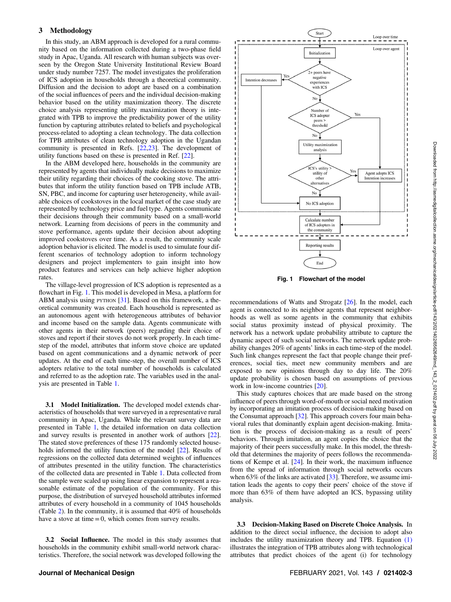## <span id="page-2-0"></span>3 Methodology

In this study, an ABM approach is developed for a rural community based on the information collected during a two-phase field study in Apac, Uganda. All research with human subjects was overseen by the Oregon State University Institutional Review Board under study number 7257. The model investigates the proliferation of ICS adoption in households through a theoretical community. Diffusion and the decision to adopt are based on a combination of the social influences of peers and the individual decision-making behavior based on the utility maximization theory. The discrete choice analysis representing utility maximization theory is integrated with TPB to improve the predictability power of the utility function by capturing attributes related to beliefs and psychological process-related to adopting a clean technology. The data collection for TPB attributes of clean technology adoption in the Ugandan community is presented in Refs. [[22,23](#page-7-0)]. The development of utility functions based on these is presented in Ref. [\[22](#page-7-0)].

In the ABM developed here, households in the community are represented by agents that individually make decisions to maximize their utility regarding their choices of the cooking stove. The attributes that inform the utility function based on TPB include ATB, SN, PBC, and income for capturing user heterogeneity, while available choices of cookstoves in the local market of the case study are represented by technology price and fuel type. Agents communicate their decisions through their community based on a small-world network. Learning from decisions of peers in the community and stove performance, agents update their decision about adopting improved cookstoves over time. As a result, the community scale adoption behavior is elicited. The model is used to simulate four different scenarios of technology adoption to inform technology designers and project implementers to gain insight into how product features and services can help achieve higher adoption rates.

The village-level progression of ICS adoption is represented as a flowchart in Fig. 1. This model is developed in Mesa, a platform for ABM analysis using PYTHON [\[31](#page-7-0)]. Based on this framework, a theoretical community was created. Each household is represented as an autonomous agent with heterogeneous attributes of behavior and income based on the sample data. Agents communicate with other agents in their network (peers) regarding their choice of stoves and report if their stoves do not work properly. In each timestep of the model, attributes that inform stove choice are updated based on agent communications and a dynamic network of peer updates. At the end of each time-step, the overall number of ICS adopters relative to the total number of households is calculated and referred to as the adoption rate. The variables used in the analysis are presented in Table [1.](#page-3-0)

3.1 Model Initialization. The developed model extends characteristics of households that were surveyed in a representative rural community in Apac, Uganda. While the relevant survey data are presented in Table [1,](#page-3-0) the detailed information on data collection and survey results is presented in another work of authors [[22\]](#page-7-0). The stated stove preferences of these 175 randomly selected households informed the utility function of the model [\[22](#page-7-0)]. Results of regressions on the collected data determined weights of influences of attributes presented in the utility function. The characteristics of the collected data are presented in Table [1.](#page-3-0) Data collected from the sample were scaled up using linear expansion to represent a reasonable estimate of the population of the community. For this purpose, the distribution of surveyed household attributes informed attributes of every household in a community of 1045 households (Table [2](#page-3-0)). In the community, it is assumed that 40% of households have a stove at time  $=0$ , which comes from survey results.

3.2 Social Influence. The model in this study assumes that households in the community exhibit small-world network characteristics. Therefore, the social network was developed following the





recommendations of Watts and Strogatz [\[26](#page-7-0)]. In the model, each agent is connected to its neighbor agents that represent neighborhoods as well as some agents in the community that exhibits social status proximity instead of physical proximity. The network has a network update probability attribute to capture the dynamic aspect of such social networks. The network update probability changes 20% of agents' links in each time-step of the model. Such link changes represent the fact that people change their preferences, social ties, meet new community members and are exposed to new opinions through day to day life. The 20% update probability is chosen based on assumptions of previous work in low-income countries [\[20](#page-7-0)].

This study captures choices that are made based on the strong influence of peers through word-of-mouth or social need motivation by incorporating an imitation process of decision-making based on the Consumat approach [\[32](#page-7-0)]. This approach covers four main behavioral rules that dominantly explain agent decision-making. Imitation is the process of decision-making as a result of peers' behaviors. Through imitation, an agent copies the choice that the majority of their peers successfully make. In this model, the threshold that determines the majority of peers follows the recommendations of Kempe et al. [[24\]](#page-7-0). In their work, the maximum influence from the spread of information through social networks occurs when  $63\%$  of the links are activated  $[33]$  $[33]$ . Therefore, we assume imitation leads the agents to copy their peers' choice of the stove if more than 63% of them have adopted an ICS, bypassing utility analysis.

3.3 Decision-Making Based on Discrete Choice Analysis. In addition to the direct social influence, the decision to adopt also includes the utility maximization theory and TPB. Equation [\(1\)](#page-3-0) illustrates the integration of TPB attributes along with technological attributes that predict choices of the agent (i) for technology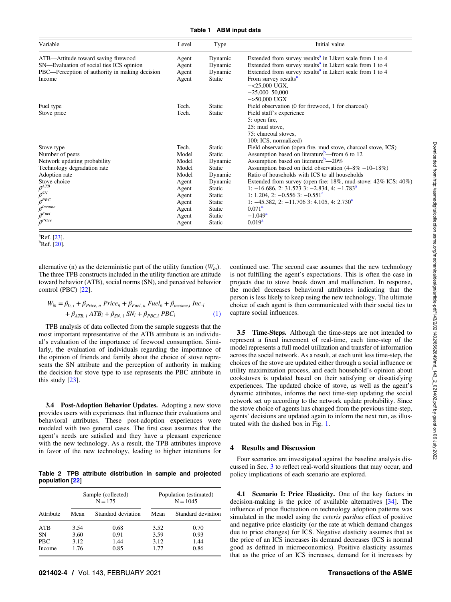<span id="page-3-0"></span>

| Variable                                               | Level | Type          | Initial value                                                         |
|--------------------------------------------------------|-------|---------------|-----------------------------------------------------------------------|
| ATB—Attitude toward saving firewood                    | Agent | Dynamic       | Extended from survey results <sup>a</sup> in Likert scale from 1 to 4 |
| SN—Evaluation of social ties ICS opinion               | Agent | Dynamic       | Extended from survey results <sup>a</sup> in Likert scale from 1 to 4 |
| PBC—Perception of authority in making decision         | Agent | Dynamic       | Extended from survey results <sup>a</sup> in Likert scale from 1 to 4 |
| Income                                                 | Agent | <b>Static</b> | From survey results <sup>a</sup>                                      |
|                                                        |       |               | $-\text{&}25,000\text{ UGX}$ ,                                        |
|                                                        |       |               | $-25,000 - 50,000$                                                    |
|                                                        |       |               | $-$ >50,000 UGX                                                       |
| Fuel type                                              | Tech. | <b>Static</b> | Field observation (0 for firewood, 1 for charcoal)                    |
| Stove price                                            | Tech. | <b>Static</b> | Field staff's experience                                              |
|                                                        |       |               | 5: open fire,                                                         |
|                                                        |       |               | 25: mud stove,                                                        |
|                                                        |       |               | 75: charcoal stoves.                                                  |
|                                                        |       |               | 100: ICS, normalized)                                                 |
| Stove type                                             | Tech. | <b>Static</b> | Field observation (open fire, mud stove, charcoal stove, ICS)         |
| Number of peers                                        | Model | <b>Static</b> | Assumption based on literature <sup>b</sup> —from 6 to 12             |
| Network updating probability                           | Model | Dynamic       | Assumption based on literature <sup>b</sup> —20%                      |
| Technology degradation rate                            | Model | <b>Static</b> | Assumption based on field observation $(4-8\% -10-18\%)$              |
| Adoption rate                                          | Model | Dynamic       | Ratio of households with ICS to all households                        |
| Stove choice                                           | Agent | Dynamic       | Extended from survey (open fire: 18%, mud-stove: 42% ICS: 40%)        |
| $\beta^{ATB}$                                          | Agent | Static        | 1: $-16.686$ , 2: 31.523 3: $-2.834$ , 4: $-1.783a$                   |
| $\beta_{\scriptscriptstyle -}^{\scriptscriptstyle SN}$ | Agent | <b>Static</b> | 1: 1.204, 2: $-0.556$ 3: $-0.551$ <sup>a</sup>                        |
| $\beta^{PBC}$                                          | Agent | <b>Static</b> | 1: $-45.382$ , 2: $-11.706$ 3: 4.105, 4: 2.730 <sup>a</sup>           |
| $\beta^{Income}$                                       | Agent | <b>Static</b> | $0.071^a$                                                             |
| $\beta^{Fuel}$                                         | Agent | Static        | $-1.049$ <sup>a</sup>                                                 |
| $\beta^{Price}$                                        | Agent | <b>Static</b> | $0.019^{\rm a}$                                                       |

 ${}^{a}$ Ref. [[23\]](#page-7-0).<br>b<sub>Def. [20]</sub>

alternative (n) as the deterministic part of the utility function  $(W_{in})$ . The three TPB constructs included in the utility function are attitude toward behavior (ATB), social norms (SN), and perceived behavior control (PBC) [\[22](#page-7-0)].

$$
W_{in} = \beta_{0,i} + \beta_{Price, n} Price_n + \beta_{Full, n} Fuel_n + \beta_{income, i} Inc_{\cdot i}
$$
  
+  $\beta_{ATB, i} ATB_i + \beta_{SN, i} SN_i + \beta_{PBC,i} PBC_i$  (1)

TPB analysis of data collected from the sample suggests that the most important representative of the ATB attribute is an individual's evaluation of the importance of firewood consumption. Similarly, the evaluation of individuals regarding the importance of the opinion of friends and family about the choice of stove represents the SN attribute and the perception of authority in making the decision for stove type to use represents the PBC attribute in this study  $[23]$  $[23]$ .

3.4 Post-Adoption Behavior Updates. Adopting a new stove provides users with experiences that influence their evaluations and behavioral attributes. These post-adoption experiences were modeled with two general cases. The first case assumes that the agent's needs are satisfied and they have a pleasant experience with the new technology. As a result, the TPB attributes improve in favor of the new technology, leading to higher intentions for

Table 2 TPB attribute distribution in sample and projected population [\[22\]](#page-7-0)

|            |      | Sample (collected)<br>$N = 175$ |      | Population (estimated)<br>$N = 1045$ |  |
|------------|------|---------------------------------|------|--------------------------------------|--|
| Attribute  | Mean | Standard deviation              | Mean | Standard deviation                   |  |
| ATB        | 3.54 | 0.68                            | 3.52 | 0.70                                 |  |
| SΝ         | 3.60 | 0.91                            | 3.59 | 0.93                                 |  |
| <b>PBC</b> | 3.12 | 1.44                            | 3.12 | 1.44                                 |  |
| Income     | 1.76 | 0.85                            | 1.77 | 0.86                                 |  |

continued use. The second case assumes that the new technology is not fulfilling the agent's expectations. This is often the case in projects due to stove break down and malfunction. In response, the model decreases behavioral attributes indicating that the person is less likely to keep using the new technology. The ultimate choice of each agent is then communicated with their social ties to capture social influences.

3.5 Time-Steps. Although the time-steps are not intended to represent a fixed increment of real-time, each time-step of the model represents a full model utilization and transfer of information across the social network. As a result, at each unit less time-step, the choices of the stove are updated either through a social influence or utility maximization process, and each household's opinion about cookstoves is updated based on their satisfying or dissatisfying experiences. The updated choice of stove, as well as the agent's dynamic attributes, informs the next time-step updating the social network set up according to the network update probability. Since the stove choice of agents has changed from the previous time-step, agents' decisions are updated again to inform the next run, as illustrated with the dashed box in Fig. [1.](#page-2-0)

# 4 Results and Discussion

Four scenarios are investigated against the baseline analysis discussed in Sec. [3](#page-2-0) to reflect real-world situations that may occur, and policy implications of each scenario are explored.

4.1 Scenario I: Price Elasticity. One of the key factors in decision-making is the price of available alternatives [[34\]](#page-7-0). The influence of price fluctuation on technology adoption patterns was simulated in the model using the ceteris paribus effect of positive and negative price elasticity (or the rate at which demand changes due to price changes) for ICS. Negative elasticity assumes that as the price of an ICS increases its demand decreases (ICS is normal good as defined in microeconomics). Positive elasticity assumes that as the price of an ICS increases, demand for it increases by

 ${}^{b}$ Ref. [\[20](#page-7-0)].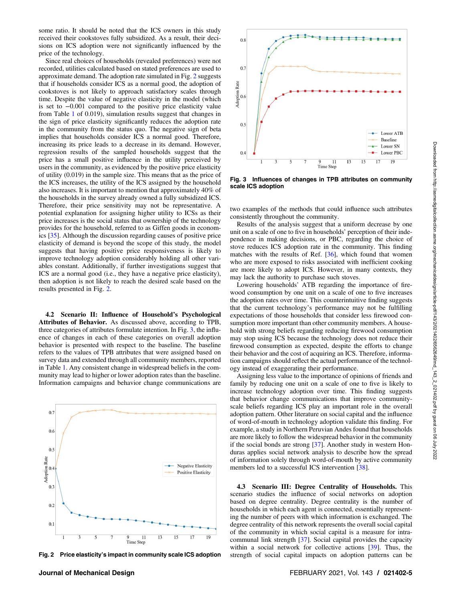some ratio. It should be noted that the ICS owners in this study received their cookstoves fully subsidized. As a result, their decisions on ICS adoption were not significantly influenced by the price of the technology.

Since real choices of households (revealed preferences) were not recorded, utilities calculated based on stated preferences are used to approximate demand. The adoption rate simulated in Fig. 2 suggests that if households consider ICS as a normal good, the adoption of cookstoves is not likely to approach satisfactory scales through time. Despite the value of negative elasticity in the model (which is set to −0.001 compared to the positive price elasticity value from Table [1](#page-3-0) of 0.019), simulation results suggest that changes in the sign of price elasticity significantly reduces the adoption rate in the community from the status quo. The negative sign of beta implies that households consider ICS a normal good. Therefore, increasing its price leads to a decrease in its demand. However, regression results of the sampled households suggest that the price has a small positive influence in the utility perceived by users in the community, as evidenced by the positive price elasticity of utility (0.019) in the sample size. This means that as the price of the ICS increases, the utility of the ICS assigned by the household also increases. It is important to mention that approximately 40% of the households in the survey already owned a fully subsidized ICS. Therefore, their price sensitivity may not be representative. A potential explanation for assigning higher utility to ICSs as their price increases is the social status that ownership of the technology provides for the household, referred to as Giffen goods in economics [\[35](#page-7-0)]. Although the discussion regarding causes of positive price elasticity of demand is beyond the scope of this study, the model suggests that having positive price responsiveness is likely to improve technology adoption considerably holding all other variables constant. Additionally, if further investigations suggest that ICS are a normal good (i.e., they have a negative price elasticity), then adoption is not likely to reach the desired scale based on the results presented in Fig. 2.

4.2 Scenario II: Influence of Household's Psychological Attributes of Behavior. As discussed above, according to TPB, three categories of attributes formulate intention. In Fig. 3, the influence of changes in each of these categories on overall adoption behavior is presented with respect to the baseline. The baseline refers to the values of TPB attributes that were assigned based on survey data and extended through all community members, reported in Table [1.](#page-3-0) Any consistent change in widespread beliefs in the community may lead to higher or lower adoption rates than the baseline. Information campaigns and behavior change communications are





Fig. 3 Influences of changes in TPB attributes on community scale ICS adoption

two examples of the methods that could influence such attributes consistently throughout the community.

Results of the analysis suggest that a uniform decrease by one unit on a scale of one to five in households' perception of their independence in making decisions, or PBC, regarding the choice of stove reduces ICS adoption rate in the community. This finding matches with the results of Ref. [[36\]](#page-7-0), which found that women who are more exposed to risks associated with inefficient cooking are more likely to adopt ICS. However, in many contexts, they may lack the authority to purchase such stoves.

Lowering households' ATB regarding the importance of firewood consumption by one unit on a scale of one to five increases the adoption rates over time. This counterintuitive finding suggests that the current technology's performance may not be fulfilling expectations of those households that consider less firewood consumption more important than other community members. A household with strong beliefs regarding reducing firewood consumption may stop using ICS because the technology does not reduce their firewood consumption as expected, despite the efforts to change their behavior and the cost of acquiring an ICS. Therefore, information campaigns should reflect the actual performance of the technology instead of exaggerating their performance.

Assigning less value to the importance of opinions of friends and family by reducing one unit on a scale of one to five is likely to increase technology adoption over time. This finding suggests that behavior change communications that improve communityscale beliefs regarding ICS play an important role in the overall adoption pattern. Other literature on social capital and the influence of word-of-mouth in technology adoption validate this finding. For example, a study in Northern Peruvian Andes found that households are more likely to follow the widespread behavior in the community if the social bonds are strong [[37\]](#page-7-0). Another study in western Honduras applies social network analysis to describe how the spread of information solely through word-of-mouth by active community members led to a successful ICS intervention [[38](#page-7-0)].

4.3 Scenario III: Degree Centrality of Households. This scenario studies the influence of social networks on adoption based on degree centrality. Degree centrality is the number of households in which each agent is connected, essentially representing the number of peers with which information is exchanged. The degree centrality of this network represents the overall social capital of the community in which social capital is a measure for intracommunal link strength [[37\]](#page-7-0). Social capital provides the capacity within a social network for collective actions [[39\]](#page-7-0). Thus, the Fig. 2 Price elasticity's impact in community scale ICS adoption strength of social capital impacts on adoption patterns can be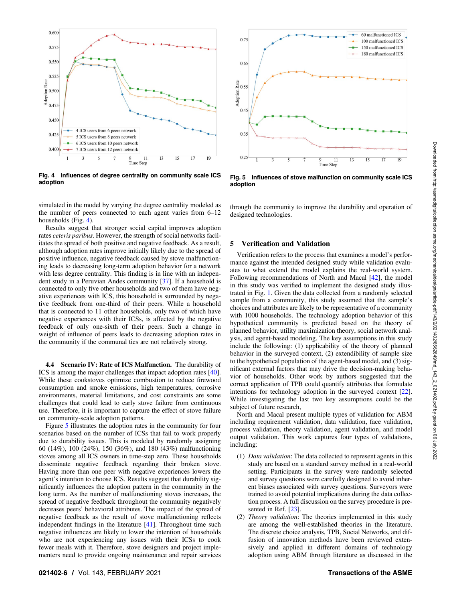

Fig. 4 Influences of degree centrality on community scale ICS adoption

simulated in the model by varying the degree centrality modeled as the number of peers connected to each agent varies from 6–12 households (Fig. 4).

Results suggest that stronger social capital improves adoption rates ceteris paribus. However, the strength of social networks facilitates the spread of both positive and negative feedback. As a result, although adoption rates improve initially likely due to the spread of positive influence, negative feedback caused by stove malfunctioning leads to decreasing long-term adoption behavior for a network with less degree centrality. This finding is in line with an independent study in a Peruvian Andes community [[37\]](#page-7-0). If a household is connected to only five other households and two of them have negative experiences with ICS, this household is surrounded by negative feedback from one-third of their peers. While a household that is connected to 11 other households, only two of which have negative experiences with their ICSs, is affected by the negative feedback of only one-sixth of their peers. Such a change in weight of influence of peers leads to decreasing adoption rates in the community if the communal ties are not relatively strong.

4.4 Scenario IV: Rate of ICS Malfunction. The durability of ICS is among the major challenges that impact adoption rates [[40\]](#page-7-0). While these cookstoves optimize combustion to reduce firewood consumption and smoke emissions, high temperatures, corrosive environments, material limitations, and cost constraints are some challenges that could lead to early stove failure from continuous use. Therefore, it is important to capture the effect of stove failure on community-scale adoption patterns.

Figure 5 illustrates the adoption rates in the community for four scenarios based on the number of ICSs that fail to work properly due to durability issues. This is modeled by randomly assigning 60 (14%), 100 (24%), 150 (36%), and 180 (43%) malfunctioning stoves among all ICS owners in time-step zero. These households disseminate negative feedback regarding their broken stove. Having more than one peer with negative experiences lowers the agent's intention to choose ICS. Results suggest that durability significantly influences the adoption pattern in the community in the long term. As the number of malfunctioning stoves increases, the spread of negative feedback throughout the community negatively decreases peers' behavioral attributes. The impact of the spread of negative feedback as the result of stove malfunctioning reflects independent findings in the literature [[41\]](#page-7-0). Throughout time such negative influences are likely to lower the intention of households who are not experiencing any issues with their ICSs to cook fewer meals with it. Therefore, stove designers and project implementers need to provide ongoing maintenance and repair services



Fig. 5 Influences of stove malfunction on community scale ICS adoption

through the community to improve the durability and operation of designed technologies.

#### 5 Verification and Validation

Verification refers to the process that examines a model's performance against the intended designed study while validation evaluates to what extend the model explains the real-world system. Following recommendations of North and Macal [\[42](#page-7-0)], the model in this study was verified to implement the designed study illustrated in Fig. [1](#page-2-0). Given the data collected from a randomly selected sample from a community, this study assumed that the sample's choices and attributes are likely to be representative of a community with 1000 households. The technology adoption behavior of this hypothetical community is predicted based on the theory of planned behavior, utility maximization theory, social network analysis, and agent-based modeling. The key assumptions in this study include the following: (1) applicability of the theory of planned behavior in the surveyed context, (2) extendibility of sample size to the hypothetical population of the agent-based model, and (3) significant external factors that may drive the decision-making behavior of households. Other work by authors suggested that the correct application of TPB could quantify attributes that formulate intentions for technology adoption in the surveyed context [[22\]](#page-7-0). While investigating the last two key assumptions could be the subject of future research,

North and Macal present multiple types of validation for ABM including requirement validation, data validation, face validation, process validation, theory validation, agent validation, and model output validation. This work captures four types of validations, including:

- (1) Data validation: The data collected to represent agents in this study are based on a standard survey method in a real-world setting. Participants in the survey were randomly selected and survey questions were carefully designed to avoid inherent biases associated with survey questions. Surveyors were trained to avoid potential implications during the data collection process. A full discussion on the survey procedure is presented in Ref. [[23\]](#page-7-0).
- (2) Theory validation: The theories implemented in this study are among the well-established theories in the literature. The discrete choice analysis, TPB, Social Networks, and diffusion of innovation methods have been reviewed extensively and applied in different domains of technology adoption using ABM through literature as discussed in the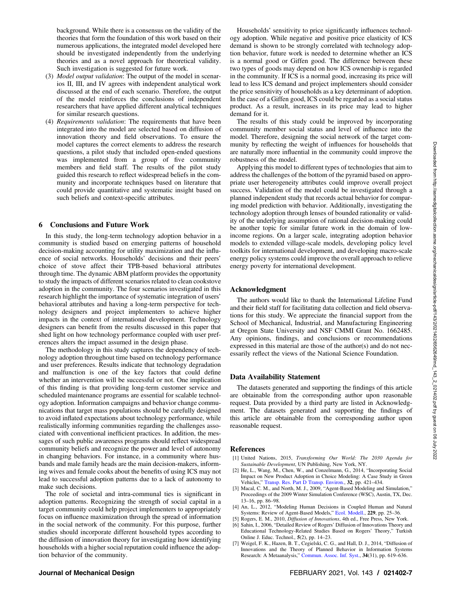<span id="page-6-0"></span>background. While there is a consensus on the validity of the theories that form the foundation of this work based on their numerous applications, the integrated model developed here should be investigated independently from the underlying theories and as a novel approach for theoretical validity. Such investigation is suggested for future work.

- (3) Model output validation: The output of the model in scenarios II, III, and IV agrees with independent analytical work discussed at the end of each scenario. Therefore, the output of the model reinforces the conclusions of independent researchers that have applied different analytical techniques for similar research questions.
- (4) Requirements validation: The requirements that have been integrated into the model are selected based on diffusion of innovation theory and field observations. To ensure the model captures the correct elements to address the research questions, a pilot study that included open-ended questions was implemented from a group of five community members and field staff. The results of the pilot study guided this research to reflect widespread beliefs in the community and incorporate techniques based on literature that could provide quantitative and systematic insight based on such beliefs and context-specific attributes.

## 6 Conclusions and Future Work

In this study, the long-term technology adoption behavior in a community is studied based on emerging patterns of household decision-making accounting for utility maximization and the influence of social networks. Households' decisions and their peers' choice of stove affect their TPB-based behavioral attributes through time. The dynamic ABM platform provides the opportunity to study the impacts of different scenarios related to clean cookstove adoption in the community. The four scenarios investigated in this research highlight the importance of systematic integration of users' behavioral attributes and having a long-term perspective for technology designers and project implementers to achieve higher impacts in the context of international development. Technology designers can benefit from the results discussed in this paper that shed light on how technology performance coupled with user preferences alters the impact assumed in the design phase.

The methodology in this study captures the dependency of technology adoption throughout time based on technology performance and user preferences. Results indicate that technology degradation and malfunction is one of the key factors that could define whether an intervention will be successful or not. One implication of this finding is that providing long-term customer service and scheduled maintenance programs are essential for scalable technology adoption. Information campaigns and behavior change communications that target mass populations should be carefully designed to avoid inflated expectations about technology performance, while realistically informing communities regarding the challenges associated with conventional inefficient practices. In addition, the messages of such public awareness programs should reflect widespread community beliefs and recognize the power and level of autonomy in changing behaviors. For instance, in a community where husbands and male family heads are the main decision-makers, informing wives and female cooks about the benefits of using ICS may not lead to successful adoption patterns due to a lack of autonomy to make such decisions.

The role of societal and intra-communal ties is significant in adoption patterns. Recognizing the strength of social capital in a target community could help project implementers to appropriately focus on influence maximization through the spread of information in the social network of the community. For this purpose, further studies should incorporate different household types according to the diffusion of innovation theory for investigating how identifying households with a higher social reputation could influence the adoption behavior of the community.

Households' sensitivity to price significantly influences technology adoption. While negative and positive price elasticity of ICS demand is shown to be strongly correlated with technology adoption behavior, future work is needed to determine whether an ICS is a normal good or Giffen good. The difference between these two types of goods may depend on how ICS ownership is regarded in the community. If ICS is a normal good, increasing its price will lead to less ICS demand and project implementers should consider the price sensitivity of households as a key determinant of adoption. In the case of a Giffen good, ICS could be regarded as a social status product. As a result, increases in its price may lead to higher demand for it.

The results of this study could be improved by incorporating community member social status and level of influence into the model. Therefore, designing the social network of the target community by reflecting the weight of influences for households that are naturally more influential in the community could improve the robustness of the model.

Applying this model to different types of technologies that aim to address the challenges of the bottom of the pyramid based on appropriate user heterogeneity attributes could improve overall project success. Validation of the model could be investigated through a planned independent study that records actual behavior for comparing model prediction with behavior. Additionally, investigating the technology adoption through lenses of bounded rationality or validity of the underlying assumption of rational decision-making could be another topic for similar future work in the domain of lowincome regions. On a larger scale, integrating adoption behavior models to extended village-scale models, developing policy level toolkits for international development, and developing macro-scale energy policy systems could improve the overall approach to relieve energy poverty for international development.

## Acknowledgment

The authors would like to thank the International Lifeline Fund and their field staff for facilitating data collection and field observations for this study. We appreciate the financial support from the School of Mechanical, Industrial, and Manufacturing Engineering at Oregon State University and NSF CMMI Grant No. 1662485. Any opinions, findings, and conclusions or recommendations expressed in this material are those of the author(s) and do not necessarily reflect the views of the National Science Foundation.

#### Data Availability Statement

The datasets generated and supporting the findings of this article are obtainable from the corresponding author upon reasonable request. Data provided by a third party are listed in Acknowledgment. The datasets generated and supporting the findings of this article are obtainable from the corresponding author upon reasonable request.

#### References

- [1] United Nations, 2015, Transforming Our World: The 2030 Agenda for Sustainable Development, UN Publishing, New York, NY.
- [2] He, L., Wang, M., Chen, W., and Conzelmann, G., 2014, "Incorporating Social Impact on New Product Adoption in Choice Modeling: A Case Study in Green
- Vehicles," [Transp. Res. Part D Transp. Environ.](http://dx.doi.org/10.1016/j.trd.2014.08.007), 32, pp. 421-434.<br>[3] Macal, C. M., and North, M. J., 2009, "Agent-Based Modeling and Simulation," Proceedings of the 2009 Winter Simulation Conference (WSC), Austin, TX, Dec. 13–16, pp. 86–98.
- [4] An, L., 2012, "Modeling Human Decisions in Coupled Human and Natural Systems: Review of Agent-Based Models," [Ecol. Modell.](http://dx.doi.org/10.1016/j.ecolmodel.2011.07.010), 229, pp. 25-36.
- [5] Rogers, E. M., 2010, *Diffusion of Innovations*, 4th ed., Free Press, New York.
- [6] Sahin, I., 2006, "Detailed Review of Rogers' Diffusion of Innovations Theory and Educational Technology-Related Studies Based on Rogers' Theory," Turkish Online J. Educ. Technol., 5(2), pp. 14–23.
- [7] Weigel, F. K., Hazen, B. T., Cegielski, C. G., and Hall, D. J., 2014, "Diffusion of Innovations and the Theory of Planned Behavior in Information Systems Research: A Metaanalysis," [Commun. Assoc. Inf. Syst.](http://dx.doi.org/10.17705/1cais.03431), 34(31), pp. 619–636.